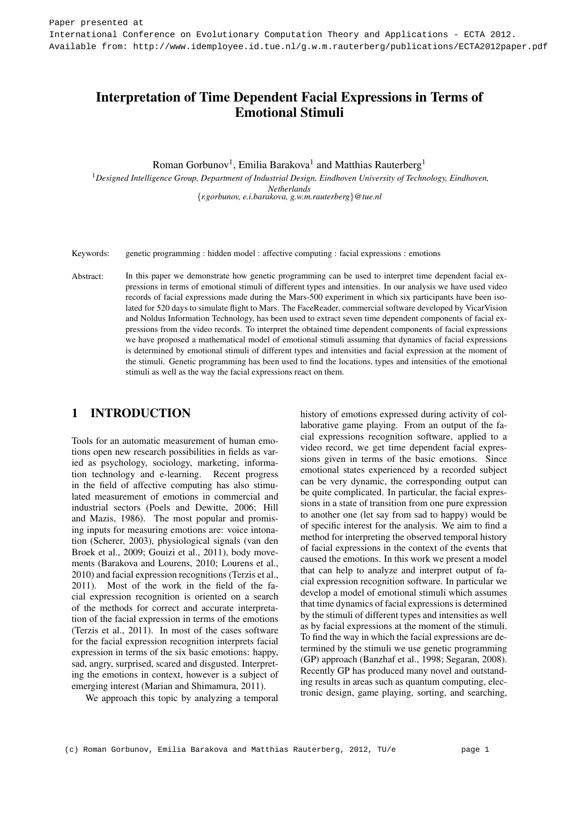# Interpretation of Time Dependent Facial Expressions in Terms of Emotional Stimuli

Roman Gorbunov<sup>1</sup>, Emilia Barakova<sup>1</sup> and Matthias Rauterberg<sup>1</sup>

<sup>1</sup>*Designed Intelligence Group, Department of Industrial Design, Eindhoven University of Technology, Eindhoven, Netherlands* {*r.gorbunov, e.i.barakova, g.w.m.rauterberg*}*@tue.nl*

Keywords: genetic programming : hidden model : affective computing : facial expressions : emotions

Abstract: In this paper we demonstrate how genetic programming can be used to interpret time dependent facial expressions in terms of emotional stimuli of different types and intensities. In our analysis we have used video records of facial expressions made during the Mars-500 experiment in which six participants have been isolated for 520 days to simulate flight to Mars. The FaceReader, commercial software developed by VicarVision and Noldus Information Technology, has been used to extract seven time dependent components of facial expressions from the video records. To interpret the obtained time dependent components of facial expressions we have proposed a mathematical model of emotional stimuli assuming that dynamics of facial expressions is determined by emotional stimuli of different types and intensities and facial expression at the moment of the stimuli. Genetic programming has been used to find the locations, types and intensities of the emotional stimuli as well as the way the facial expressions react on them.

## 1 INTRODUCTION

Tools for an automatic measurement of human emotions open new research possibilities in fields as varied as psychology, sociology, marketing, information technology and e-learning. Recent progress in the field of affective computing has also stimulated measurement of emotions in commercial and industrial sectors (Poels and Dewitte, 2006; Hill and Mazis, 1986). The most popular and promising inputs for measuring emotions are: voice intonation (Scherer, 2003), physiological signals (van den Broek et al., 2009; Gouizi et al., 2011), body movements (Barakova and Lourens, 2010; Lourens et al., 2010) and facial expression recognitions (Terzis et al., 2011). Most of the work in the field of the facial expression recognition is oriented on a search of the methods for correct and accurate interpretation of the facial expression in terms of the emotions (Terzis et al., 2011). In most of the cases software for the facial expression recognition interprets facial expression in terms of the six basic emotions: happy, sad, angry, surprised, scared and disgusted. Interpreting the emotions in context, however is a subject of emerging interest (Marian and Shimamura, 2011).

We approach this topic by analyzing a temporal

history of emotions expressed during activity of collaborative game playing. From an output of the facial expressions recognition software, applied to a video record, we get time dependent facial expressions given in terms of the basic emotions. Since emotional states experienced by a recorded subject can be very dynamic, the corresponding output can be quite complicated. In particular, the facial expressions in a state of transition from one pure expression to another one (let say from sad to happy) would be of specific interest for the analysis. We aim to find a method for interpreting the observed temporal history of facial expressions in the context of the events that caused the emotions. In this work we present a model that can help to analyze and interpret output of facial expression recognition software. In particular we develop a model of emotional stimuli which assumes that time dynamics of facial expressions is determined by the stimuli of different types and intensities as well as by facial expressions at the moment of the stimuli. To find the way in which the facial expressions are determined by the stimuli we use genetic programming (GP) approach (Banzhaf et al., 1998; Segaran, 2008). Recently GP has produced many novel and outstanding results in areas such as quantum computing, electronic design, game playing, sorting, and searching,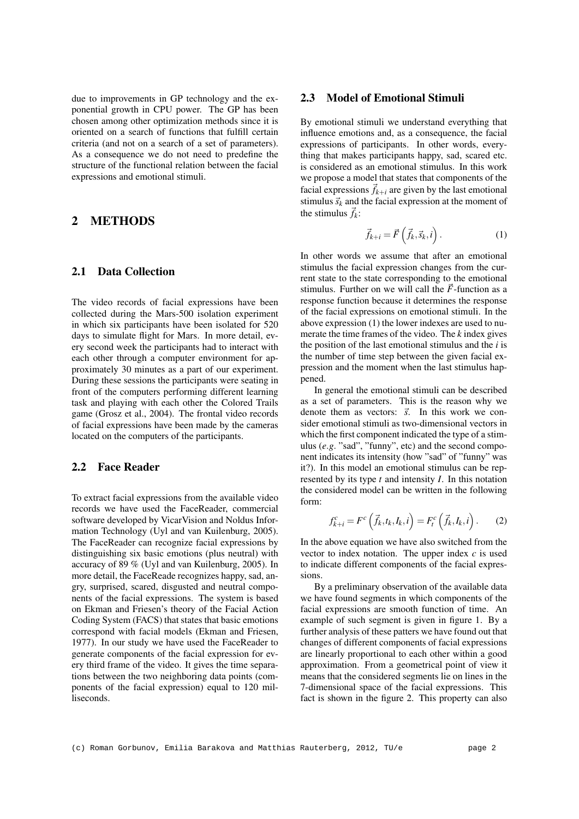due to improvements in GP technology and the exponential growth in CPU power. The GP has been chosen among other optimization methods since it is oriented on a search of functions that fulfill certain criteria (and not on a search of a set of parameters). As a consequence we do not need to predefine the structure of the functional relation between the facial expressions and emotional stimuli.

## 2 METHODS

#### 2.1 Data Collection

The video records of facial expressions have been collected during the Mars-500 isolation experiment in which six participants have been isolated for 520 days to simulate flight for Mars. In more detail, every second week the participants had to interact with each other through a computer environment for approximately 30 minutes as a part of our experiment. During these sessions the participants were seating in front of the computers performing different learning task and playing with each other the Colored Trails game (Grosz et al., 2004). The frontal video records of facial expressions have been made by the cameras located on the computers of the participants.

#### 2.2 Face Reader

To extract facial expressions from the available video records we have used the FaceReader, commercial software developed by VicarVision and Noldus Information Technology (Uyl and van Kuilenburg, 2005). The FaceReader can recognize facial expressions by distinguishing six basic emotions (plus neutral) with accuracy of 89 % (Uyl and van Kuilenburg, 2005). In more detail, the FaceReade recognizes happy, sad, angry, surprised, scared, disgusted and neutral components of the facial expressions. The system is based on Ekman and Friesen's theory of the Facial Action Coding System (FACS) that states that basic emotions correspond with facial models (Ekman and Friesen, 1977). In our study we have used the FaceReader to generate components of the facial expression for every third frame of the video. It gives the time separations between the two neighboring data points (components of the facial expression) equal to 120 milliseconds.

#### 2.3 Model of Emotional Stimuli

By emotional stimuli we understand everything that influence emotions and, as a consequence, the facial expressions of participants. In other words, everything that makes participants happy, sad, scared etc. is considered as an emotional stimulus. In this work we propose a model that states that components of the facial expressions  $\vec{f}_{k+i}$  are given by the last emotional stimulus  $\vec{s}_k$  and the facial expression at the moment of the stimulus  $\vec{f}_k$ :

$$
\vec{f}_{k+i} = \vec{F}\left(\vec{f}_k, \vec{s}_k, i\right). \tag{1}
$$

In other words we assume that after an emotional stimulus the facial expression changes from the current state to the state corresponding to the emotional stimulus. Further on we will call the  $\vec{F}$ -function as a response function because it determines the response of the facial expressions on emotional stimuli. In the above expression (1) the lower indexes are used to numerate the time frames of the video. The *k* index gives the position of the last emotional stimulus and the *i* is the number of time step between the given facial expression and the moment when the last stimulus happened.

In general the emotional stimuli can be described as a set of parameters. This is the reason why we denote them as vectors:  $\vec{s}$ . In this work we consider emotional stimuli as two-dimensional vectors in which the first component indicated the type of a stimulus (e.g. "sad", "funny", etc) and the second component indicates its intensity (how "sad" of "funny" was it?). In this model an emotional stimulus can be represented by its type *t* and intensity *I*. In this notation the considered model can be written in the following form:

$$
f_{k+i}^c = F^c\left(\vec{f}_k, t_k, I_k, i\right) = F_t^c\left(\vec{f}_k, I_k, i\right). \tag{2}
$$

In the above equation we have also switched from the vector to index notation. The upper index *c* is used to indicate different components of the facial expressions.

By a preliminary observation of the available data we have found segments in which components of the facial expressions are smooth function of time. An example of such segment is given in figure 1. By a further analysis of these patters we have found out that changes of different components of facial expressions are linearly proportional to each other within a good approximation. From a geometrical point of view it means that the considered segments lie on lines in the 7-dimensional space of the facial expressions. This fact is shown in the figure 2. This property can also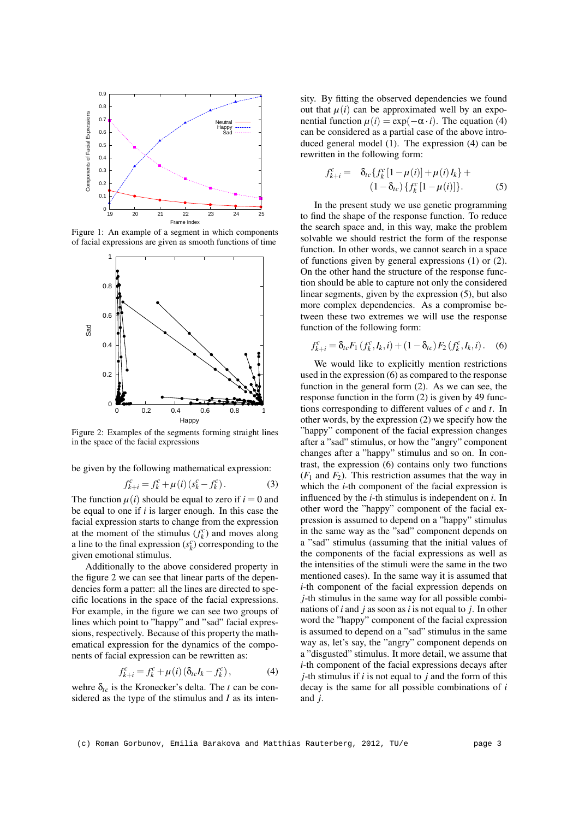

Figure 1: An example of a segment in which components of facial expressions are given as smooth functions of time



Figure 2: Examples of the segments forming straight lines in the space of the facial expressions

be given by the following mathematical expression:

$$
f_{k+i}^c = f_k^c + \mu(i) (s_k^c - f_k^c).
$$
 (3)

The function  $\mu(i)$  should be equal to zero if  $i = 0$  and be equal to one if *i* is larger enough. In this case the facial expression starts to change from the expression at the moment of the stimulus  $(f_k^c)$  and moves along a line to the final expression  $(s_k^c)$  corresponding to the given emotional stimulus.

Additionally to the above considered property in the figure 2 we can see that linear parts of the dependencies form a patter: all the lines are directed to specific locations in the space of the facial expressions. For example, in the figure we can see two groups of lines which point to "happy" and "sad" facial expressions, respectively. Because of this property the mathematical expression for the dynamics of the components of facial expression can be rewritten as:

$$
f_{k+i}^c = f_k^c + \mu(i) \left( \delta_{tc} I_k - f_k^c \right), \tag{4}
$$

wehre  $\delta_{tc}$  is the Kronecker's delta. The *t* can be considered as the type of the stimulus and *I* as its inten-

sity. By fitting the observed dependencies we found out that  $\mu(i)$  can be approximated well by an exponential function  $\mu(i) = \exp(-\alpha \cdot i)$ . The equation (4) can be considered as a partial case of the above introduced general model (1). The expression (4) can be rewritten in the following form:

$$
f_{k+i}^c = \delta_{tc} \{ f_k^c [1 - \mu(i)] + \mu(i) I_k \} +
$$
  

$$
(1 - \delta_{tc}) \{ f_k^c [1 - \mu(i)] \}.
$$
 (5)

In the present study we use genetic programming to find the shape of the response function. To reduce the search space and, in this way, make the problem solvable we should restrict the form of the response function. In other words, we cannot search in a space of functions given by general expressions (1) or (2). On the other hand the structure of the response function should be able to capture not only the considered linear segments, given by the expression (5), but also more complex dependencies. As a compromise between these two extremes we will use the response function of the following form:

$$
f_{k+i}^c = \delta_{tc} F_1(f_k^c, I_k, i) + (1 - \delta_{tc}) F_2(f_k^c, I_k, i).
$$
 (6)

We would like to explicitly mention restrictions used in the expression (6) as compared to the response function in the general form (2). As we can see, the response function in the form (2) is given by 49 functions corresponding to different values of *c* and *t*. In other words, by the expression (2) we specify how the "happy" component of the facial expression changes after a "sad" stimulus, or how the "angry" component changes after a "happy" stimulus and so on. In contrast, the expression (6) contains only two functions  $(F_1$  and  $F_2$ ). This restriction assumes that the way in which the *i*-th component of the facial expression is influenced by the *i*-th stimulus is independent on *i*. In other word the "happy" component of the facial expression is assumed to depend on a "happy" stimulus in the same way as the "sad" component depends on a "sad" stimulus (assuming that the initial values of the components of the facial expressions as well as the intensities of the stimuli were the same in the two mentioned cases). In the same way it is assumed that *i*-th component of the facial expression depends on *j*-th stimulus in the same way for all possible combinations of *i* and *j* as soon as *i* is not equal to *j*. In other word the "happy" component of the facial expression is assumed to depend on a "sad" stimulus in the same way as, let's say, the "angry" component depends on a "disgusted" stimulus. It more detail, we assume that *i*-th component of the facial expressions decays after *j*-th stimulus if *i* is not equal to *j* and the form of this decay is the same for all possible combinations of *i* and *j*.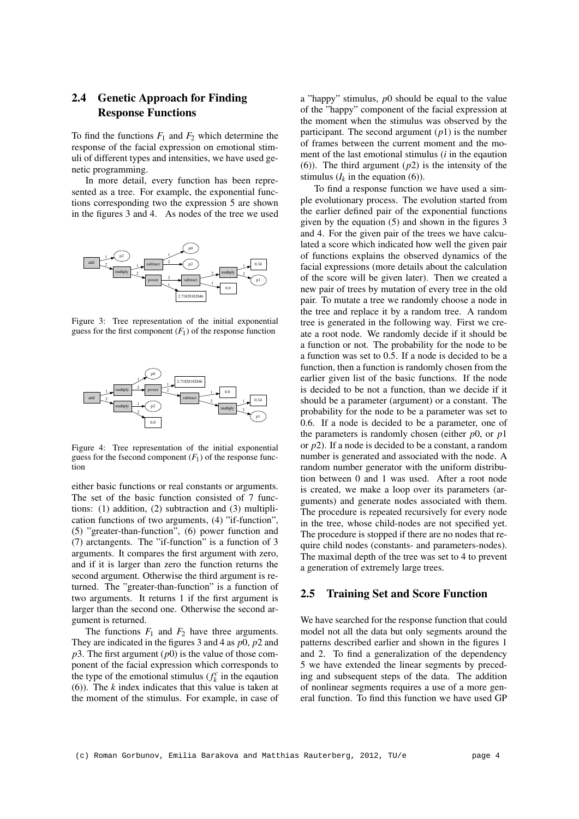## 2.4 Genetic Approach for Finding Response Functions

To find the functions  $F_1$  and  $F_2$  which determine the response of the facial expression on emotional stimuli of different types and intensities, we have used genetic programming.

In more detail, every function has been represented as a tree. For example, the exponential functions corresponding two the expression 5 are shown in the figures 3 and 4. As nodes of the tree we used



Figure 3: Tree representation of the initial exponential guess for the first component  $(F_1)$  of the response function



Figure 4: Tree representation of the initial exponential guess for the fsecond component  $(F_1)$  of the response function

either basic functions or real constants or arguments. The set of the basic function consisted of 7 functions: (1) addition, (2) subtraction and (3) multiplication functions of two arguments, (4) "if-function", (5) "greater-than-function", (6) power function and (7) arctangents. The "if-function" is a function of 3 arguments. It compares the first argument with zero, and if it is larger than zero the function returns the second argument. Otherwise the third argument is returned. The "greater-than-function" is a function of two arguments. It returns 1 if the first argument is larger than the second one. Otherwise the second argument is returned.

The functions  $F_1$  and  $F_2$  have three arguments. They are indicated in the figures 3 and 4 as *p*0, *p*2 and  $p3$ . The first argument  $(p0)$  is the value of those component of the facial expression which corresponds to the type of the emotional stimulus ( $f_k^c$  in the equation (6)). The *k* index indicates that this value is taken at the moment of the stimulus. For example, in case of

a "happy" stimulus, *p*0 should be equal to the value of the "happy" component of the facial expression at the moment when the stimulus was observed by the participant. The second argument  $(p1)$  is the number of frames between the current moment and the moment of the last emotional stimulus (*i* in the eqaution (6)). The third argument (*p*2) is the intensity of the stimulus  $(I_k$  in the equation (6)).

To find a response function we have used a simple evolutionary process. The evolution started from the earlier defined pair of the exponential functions given by the equation (5) and shown in the figures 3 and 4. For the given pair of the trees we have calculated a score which indicated how well the given pair of functions explains the observed dynamics of the facial expressions (more details about the calculation of the score will be given later). Then we created a new pair of trees by mutation of every tree in the old pair. To mutate a tree we randomly choose a node in the tree and replace it by a random tree. A random tree is generated in the following way. First we create a root node. We randomly decide if it should be a function or not. The probability for the node to be a function was set to 0.5. If a node is decided to be a function, then a function is randomly chosen from the earlier given list of the basic functions. If the node is decided to be not a function, than we decide if it should be a parameter (argument) or a constant. The probability for the node to be a parameter was set to 0.6. If a node is decided to be a parameter, one of the parameters is randomly chosen (either *p*0, or *p*1 or *p*2). If a node is decided to be a constant, a random number is generated and associated with the node. A random number generator with the uniform distribution between 0 and 1 was used. After a root node is created, we make a loop over its parameters (arguments) and generate nodes associated with them. The procedure is repeated recursively for every node in the tree, whose child-nodes are not specified yet. The procedure is stopped if there are no nodes that require child nodes (constants- and parameters-nodes). The maximal depth of the tree was set to 4 to prevent a generation of extremely large trees.

#### 2.5 Training Set and Score Function

We have searched for the response function that could model not all the data but only segments around the patterns described earlier and shown in the figures 1 and 2. To find a generalization of the dependency 5 we have extended the linear segments by preceding and subsequent steps of the data. The addition of nonlinear segments requires a use of a more general function. To find this function we have used GP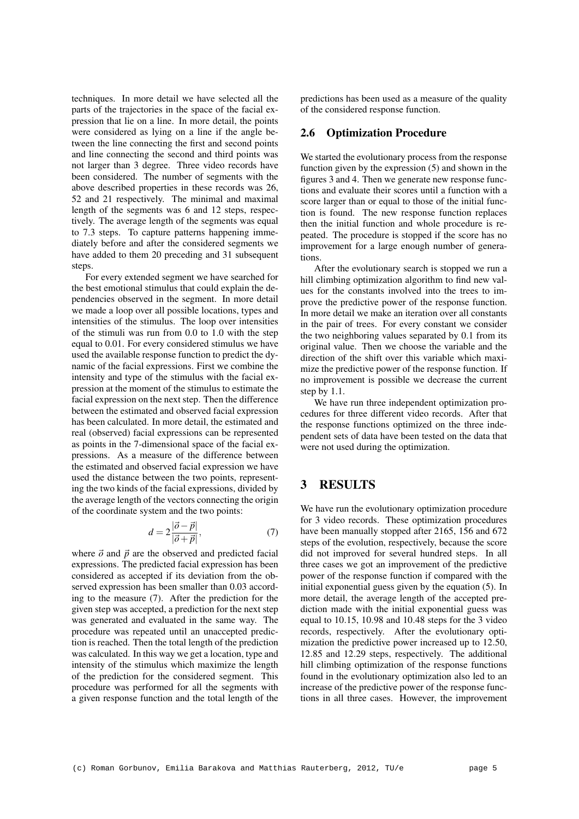techniques. In more detail we have selected all the parts of the trajectories in the space of the facial expression that lie on a line. In more detail, the points were considered as lying on a line if the angle between the line connecting the first and second points and line connecting the second and third points was not larger than 3 degree. Three video records have been considered. The number of segments with the above described properties in these records was 26, 52 and 21 respectively. The minimal and maximal length of the segments was 6 and 12 steps, respectively. The average length of the segments was equal to 7.3 steps. To capture patterns happening immediately before and after the considered segments we have added to them 20 preceding and 31 subsequent steps.

For every extended segment we have searched for the best emotional stimulus that could explain the dependencies observed in the segment. In more detail we made a loop over all possible locations, types and intensities of the stimulus. The loop over intensities of the stimuli was run from 0.0 to 1.0 with the step equal to 0.01. For every considered stimulus we have used the available response function to predict the dynamic of the facial expressions. First we combine the intensity and type of the stimulus with the facial expression at the moment of the stimulus to estimate the facial expression on the next step. Then the difference between the estimated and observed facial expression has been calculated. In more detail, the estimated and real (observed) facial expressions can be represented as points in the 7-dimensional space of the facial expressions. As a measure of the difference between the estimated and observed facial expression we have used the distance between the two points, representing the two kinds of the facial expressions, divided by the average length of the vectors connecting the origin of the coordinate system and the two points:

$$
d = 2\frac{|\vec{o} - \vec{p}|}{|\vec{o} + \vec{p}|},\tag{7}
$$

where  $\vec{o}$  and  $\vec{p}$  are the observed and predicted facial expressions. The predicted facial expression has been considered as accepted if its deviation from the observed expression has been smaller than 0.03 according to the measure (7). After the prediction for the given step was accepted, a prediction for the next step was generated and evaluated in the same way. The procedure was repeated until an unaccepted prediction is reached. Then the total length of the prediction was calculated. In this way we get a location, type and intensity of the stimulus which maximize the length of the prediction for the considered segment. This procedure was performed for all the segments with a given response function and the total length of the

predictions has been used as a measure of the quality of the considered response function.

#### 2.6 Optimization Procedure

We started the evolutionary process from the response function given by the expression (5) and shown in the figures 3 and 4. Then we generate new response functions and evaluate their scores until a function with a score larger than or equal to those of the initial function is found. The new response function replaces then the initial function and whole procedure is repeated. The procedure is stopped if the score has no improvement for a large enough number of generations.

After the evolutionary search is stopped we run a hill climbing optimization algorithm to find new values for the constants involved into the trees to improve the predictive power of the response function. In more detail we make an iteration over all constants in the pair of trees. For every constant we consider the two neighboring values separated by 0.1 from its original value. Then we choose the variable and the direction of the shift over this variable which maximize the predictive power of the response function. If no improvement is possible we decrease the current step by 1.1.

We have run three independent optimization procedures for three different video records. After that the response functions optimized on the three independent sets of data have been tested on the data that were not used during the optimization.

## 3 RESULTS

We have run the evolutionary optimization procedure for 3 video records. These optimization procedures have been manually stopped after 2165, 156 and 672 steps of the evolution, respectively, because the score did not improved for several hundred steps. In all three cases we got an improvement of the predictive power of the response function if compared with the initial exponential guess given by the equation (5). In more detail, the average length of the accepted prediction made with the initial exponential guess was equal to 10.15, 10.98 and 10.48 steps for the 3 video records, respectively. After the evolutionary optimization the predictive power increased up to 12.50, 12.85 and 12.29 steps, respectively. The additional hill climbing optimization of the response functions found in the evolutionary optimization also led to an increase of the predictive power of the response functions in all three cases. However, the improvement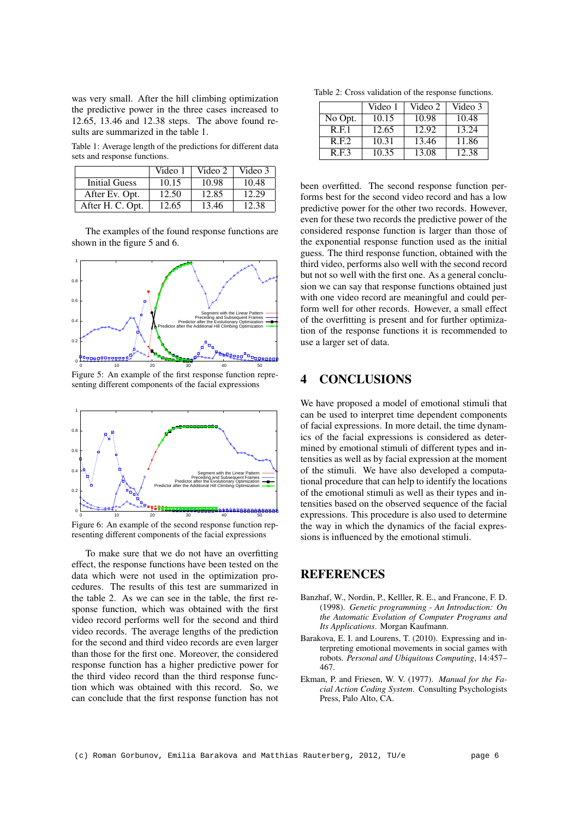was very small. After the hill climbing optimization the predictive power in the three cases increased to 12.65, 13.46 and 12.38 steps. The above found results are summarized in the table 1.

Table 1: Average length of the predictions for different data sets and response functions.

|                      | Video 1 | Video 2 | Video 3 |
|----------------------|---------|---------|---------|
| <b>Initial Guess</b> | 10.15   | 10.98   | 10.48   |
| After Ev. Opt.       | 12.50   | 12.85   | 12.29   |
| After H. C. Opt.     | 12.65   | 13.46   | 12.38   |

The examples of the found response functions are shown in the figure 5 and 6.



Figure 5: An example of the first response function representing different components of the facial expressions



Figure 6: An example of the second response function representing different components of the facial expressions

To make sure that we do not have an overfitting effect, the response functions have been tested on the data which were not used in the optimization procedures. The results of this test are summarized in the table 2. As we can see in the table, the first response function, which was obtained with the first video record performs well for the second and third video records. The average lengths of the prediction for the second and third video records are even larger than those for the first one. Moreover, the considered response function has a higher predictive power for the third video record than the third response function which was obtained with this record. So, we can conclude that the first response function has not

Table 2: Cross validation of the response functions.

|         | Video 1 | Video 2 | Video 3 |
|---------|---------|---------|---------|
| No Opt. | 10.15   | 10.98   | 10.48   |
| R.E.1   | 12.65   | 12.92   | 13.24   |
| R.E.2   | 10.31   | 13.46   | 11.86   |
| R.F.3   | 10.35   | 13.08   | 12.38   |

been overfitted. The second response function performs best for the second video record and has a low predictive power for the other two records. However, even for these two records the predictive power of the considered response function is larger than those of the exponential response function used as the initial guess. The third response function, obtained with the third video, performs also well with the second record but not so well with the first one. As a general conclusion we can say that response functions obtained just with one video record are meaningful and could perform well for other records. However, a small effect of the overfitting is present and for further optimization of the response functions it is recommended to use a larger set of data.

### 4 CONCLUSIONS

We have proposed a model of emotional stimuli that can be used to interpret time dependent components of facial expressions. In more detail, the time dynamics of the facial expressions is considered as determined by emotional stimuli of different types and intensities as well as by facial expression at the moment of the stimuli. We have also developed a computational procedure that can help to identify the locations of the emotional stimuli as well as their types and intensities based on the observed sequence of the facial expressions. This procedure is also used to determine the way in which the dynamics of the facial expressions is influenced by the emotional stimuli.

### **REFERENCES**

- Banzhaf, W., Nordin, P., Kelller, R. E., and Francone, F. D. (1998). *Genetic programming - An Introduction: On the Automatic Evolution of Computer Programs and Its Applications*. Morgan Kaufmann.
- Barakova, E. I. and Lourens, T. (2010). Expressing and interpreting emotional movements in social games with robots. *Personal and Ubiquitous Computing*, 14:457– 467.
- Ekman, P. and Friesen, W. V. (1977). *Manual for the Facial Action Coding System*. Consulting Psychologists Press, Palo Alto, CA.